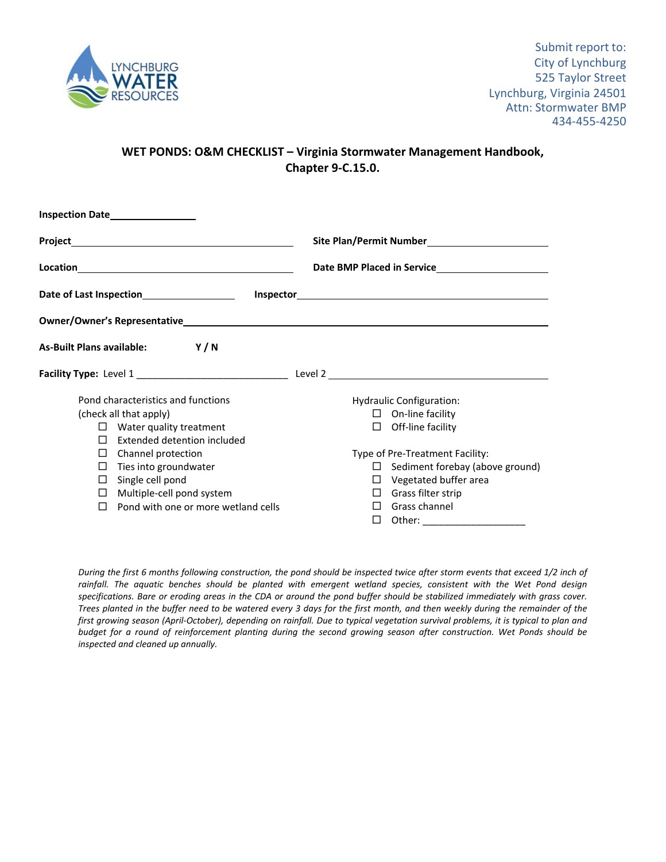

## **WET PONDS: O&M CHECKLIST – Virginia Stormwater Management Handbook, Chapter 9‐C.15.0.**

| <b>Inspection Date</b>                                                                                                                                                                                                                                                                                                                                              |                                              |  |  |  |
|---------------------------------------------------------------------------------------------------------------------------------------------------------------------------------------------------------------------------------------------------------------------------------------------------------------------------------------------------------------------|----------------------------------------------|--|--|--|
|                                                                                                                                                                                                                                                                                                                                                                     |                                              |  |  |  |
| $\begin{picture}(25,10) \put(0,0){\vector(1,0){100}} \put(15,0){\vector(1,0){100}} \put(15,0){\vector(1,0){100}} \put(15,0){\vector(1,0){100}} \put(15,0){\vector(1,0){100}} \put(15,0){\vector(1,0){100}} \put(15,0){\vector(1,0){100}} \put(15,0){\vector(1,0){100}} \put(15,0){\vector(1,0){100}} \put(15,0){\vector(1,0){100}} \put(15,0){\vector(1,0){100}} \$ | Date BMP Placed in Service <b>Example 20</b> |  |  |  |
|                                                                                                                                                                                                                                                                                                                                                                     |                                              |  |  |  |
|                                                                                                                                                                                                                                                                                                                                                                     |                                              |  |  |  |
| As-Built Plans available: Y/N                                                                                                                                                                                                                                                                                                                                       |                                              |  |  |  |
|                                                                                                                                                                                                                                                                                                                                                                     |                                              |  |  |  |
| Pond characteristics and functions                                                                                                                                                                                                                                                                                                                                  | Hydraulic Configuration:                     |  |  |  |
| (check all that apply)                                                                                                                                                                                                                                                                                                                                              | $\Box$ On-line facility                      |  |  |  |
| $\Box$ Water quality treatment                                                                                                                                                                                                                                                                                                                                      | Off-line facility<br>$\Box$                  |  |  |  |
| Extended detention included<br>П                                                                                                                                                                                                                                                                                                                                    |                                              |  |  |  |
| Channel protection<br>П                                                                                                                                                                                                                                                                                                                                             | Type of Pre-Treatment Facility:              |  |  |  |
| Ties into groundwater<br>⊔                                                                                                                                                                                                                                                                                                                                          | Sediment forebay (above ground)<br>$\Box$    |  |  |  |
| $\Box$ Single cell pond                                                                                                                                                                                                                                                                                                                                             | Vegetated buffer area<br>⊔                   |  |  |  |
| $\Box$ Multiple-cell pond system                                                                                                                                                                                                                                                                                                                                    | $\Box$ Grass filter strip                    |  |  |  |
| Pond with one or more wetland cells<br>П                                                                                                                                                                                                                                                                                                                            | Grass channel<br>П                           |  |  |  |
|                                                                                                                                                                                                                                                                                                                                                                     | Other:<br>□                                  |  |  |  |

During the first 6 months following construction, the pond should be inspected twice after storm events that exceed 1/2 inch of rainfall. The aquatic benches should be planted with emergent wetland species, consistent with the Wet Pond design specifications. Bare or eroding areas in the CDA or around the pond buffer should be stabilized immediately with grass cover. Trees planted in the buffer need to be watered every 3 days for the first month, and then weekly during the remainder of the first growing season (April-October), depending on rainfall. Due to typical vegetation survival problems, it is typical to plan and budget for a round of reinforcement planting during the second growing season after construction. Wet Ponds should be *inspected and cleaned up annually.*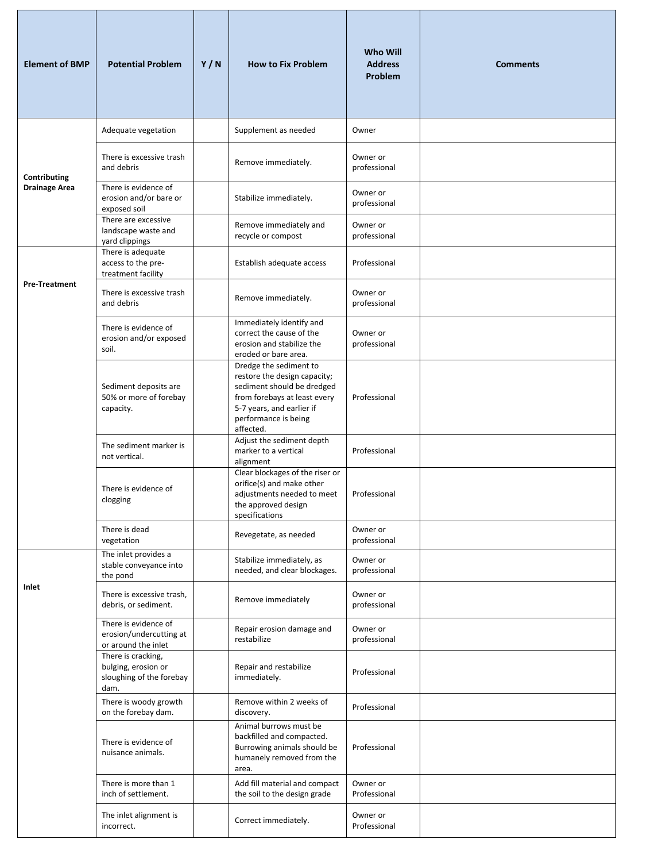| <b>Element of BMP</b> | <b>Potential Problem</b>                                                      | Y/N | <b>How to Fix Problem</b>                                                                                                                                                              | Who Will<br><b>Address</b><br>Problem | <b>Comments</b> |
|-----------------------|-------------------------------------------------------------------------------|-----|----------------------------------------------------------------------------------------------------------------------------------------------------------------------------------------|---------------------------------------|-----------------|
|                       | Adequate vegetation                                                           |     | Supplement as needed                                                                                                                                                                   | Owner                                 |                 |
| Contributing          | There is excessive trash<br>and debris                                        |     | Remove immediately.                                                                                                                                                                    | Owner or<br>professional              |                 |
| <b>Drainage Area</b>  | There is evidence of<br>erosion and/or bare or<br>exposed soil                |     | Stabilize immediately.                                                                                                                                                                 | Owner or<br>professional              |                 |
|                       | There are excessive<br>landscape waste and<br>yard clippings                  |     | Remove immediately and<br>recycle or compost                                                                                                                                           | Owner or<br>professional              |                 |
|                       | There is adequate<br>access to the pre-<br>treatment facility                 |     | Establish adequate access                                                                                                                                                              | Professional                          |                 |
| <b>Pre-Treatment</b>  | There is excessive trash<br>and debris                                        |     | Remove immediately.                                                                                                                                                                    | Owner or<br>professional              |                 |
|                       | There is evidence of<br>erosion and/or exposed<br>soil.                       |     | Immediately identify and<br>correct the cause of the<br>erosion and stabilize the<br>eroded or bare area.                                                                              | Owner or<br>professional              |                 |
|                       | Sediment deposits are<br>50% or more of forebay<br>capacity.                  |     | Dredge the sediment to<br>restore the design capacity;<br>sediment should be dredged<br>from forebays at least every<br>5-7 years, and earlier if<br>performance is being<br>affected. | Professional                          |                 |
|                       | The sediment marker is<br>not vertical.                                       |     | Adjust the sediment depth<br>marker to a vertical<br>alignment                                                                                                                         | Professional                          |                 |
|                       | There is evidence of<br>clogging                                              |     | Clear blockages of the riser or<br>orifice(s) and make other<br>adjustments needed to meet<br>the approved design<br>specifications                                                    | Professional                          |                 |
|                       | There is dead<br>vegetation                                                   |     | Revegetate, as needed                                                                                                                                                                  | Owner or<br>professional              |                 |
| Inlet                 | The inlet provides a<br>stable conveyance into<br>the pond                    |     | Stabilize immediately, as<br>needed, and clear blockages.                                                                                                                              | Owner or<br>professional              |                 |
|                       | There is excessive trash,<br>debris, or sediment.                             |     | Remove immediately                                                                                                                                                                     | Owner or<br>professional              |                 |
|                       | There is evidence of<br>erosion/undercutting at<br>or around the inlet        |     | Repair erosion damage and<br>restabilize                                                                                                                                               | Owner or<br>professional              |                 |
|                       | There is cracking,<br>bulging, erosion or<br>sloughing of the forebay<br>dam. |     | Repair and restabilize<br>immediately.                                                                                                                                                 | Professional                          |                 |
|                       | There is woody growth<br>on the forebay dam.                                  |     | Remove within 2 weeks of<br>discovery.                                                                                                                                                 | Professional                          |                 |
|                       | There is evidence of<br>nuisance animals.                                     |     | Animal burrows must be<br>backfilled and compacted.<br>Burrowing animals should be<br>humanely removed from the<br>area.                                                               | Professional                          |                 |
|                       | There is more than 1<br>inch of settlement.                                   |     | Add fill material and compact<br>the soil to the design grade                                                                                                                          | Owner or<br>Professional              |                 |
|                       | The inlet alignment is<br>incorrect.                                          |     | Correct immediately.                                                                                                                                                                   | Owner or<br>Professional              |                 |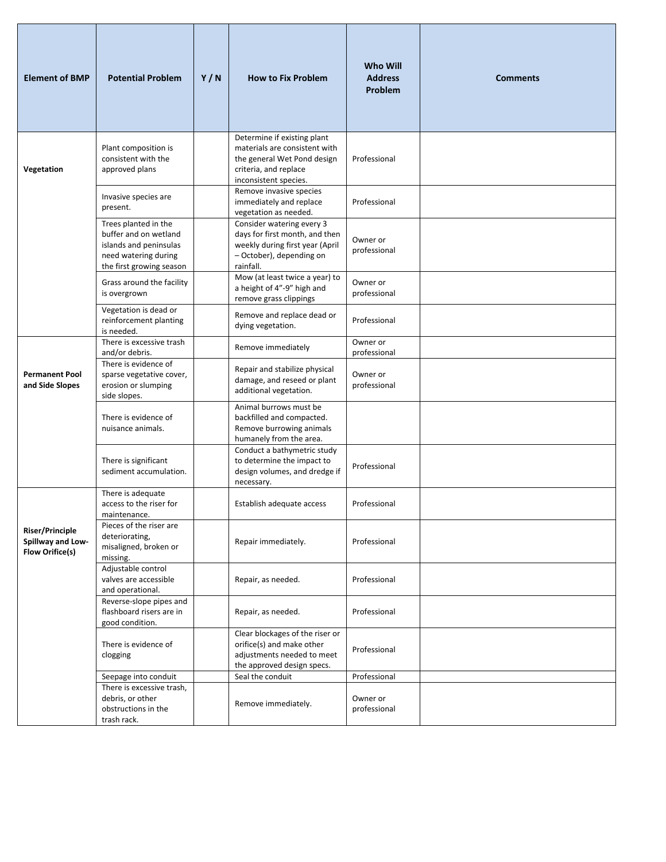| <b>Element of BMP</b>                                          | <b>Potential Problem</b>                                                                                                    | Y/N | <b>How to Fix Problem</b>                                                                                                                     | Who Will<br><b>Address</b><br>Problem    | <b>Comments</b> |
|----------------------------------------------------------------|-----------------------------------------------------------------------------------------------------------------------------|-----|-----------------------------------------------------------------------------------------------------------------------------------------------|------------------------------------------|-----------------|
| Vegetation                                                     | Plant composition is<br>consistent with the<br>approved plans                                                               |     | Determine if existing plant<br>materials are consistent with<br>the general Wet Pond design<br>criteria, and replace<br>inconsistent species. | Professional                             |                 |
|                                                                | Invasive species are<br>present.                                                                                            |     | Remove invasive species<br>immediately and replace<br>vegetation as needed.                                                                   | Professional                             |                 |
|                                                                | Trees planted in the<br>buffer and on wetland<br>islands and peninsulas<br>need watering during<br>the first growing season |     | Consider watering every 3<br>days for first month, and then<br>weekly during first year (April<br>- October), depending on<br>rainfall.       | Owner or<br>professional                 |                 |
|                                                                | Grass around the facility<br>is overgrown                                                                                   |     | Mow (at least twice a year) to<br>a height of 4"-9" high and<br>remove grass clippings                                                        | Owner or<br>professional                 |                 |
|                                                                | Vegetation is dead or<br>reinforcement planting<br>is needed.                                                               |     | Remove and replace dead or<br>dying vegetation.                                                                                               | Professional                             |                 |
|                                                                | There is excessive trash<br>and/or debris.                                                                                  |     | Remove immediately                                                                                                                            | Owner or                                 |                 |
| <b>Permanent Pool</b><br>and Side Slopes                       | There is evidence of<br>sparse vegetative cover,<br>erosion or slumping<br>side slopes.                                     |     | Repair and stabilize physical<br>damage, and reseed or plant<br>additional vegetation.                                                        | professional<br>Owner or<br>professional |                 |
|                                                                | There is evidence of<br>nuisance animals.                                                                                   |     | Animal burrows must be<br>backfilled and compacted.<br>Remove burrowing animals<br>humanely from the area.                                    |                                          |                 |
|                                                                | There is significant<br>sediment accumulation.                                                                              |     | Conduct a bathymetric study<br>to determine the impact to<br>design volumes, and dredge if<br>necessary.                                      | Professional                             |                 |
|                                                                | There is adequate<br>access to the riser for<br>maintenance.                                                                |     | Establish adequate access                                                                                                                     | Professional                             |                 |
| Riser/Principle<br>Spillway and Low-<br><b>Flow Orifice(s)</b> | Pieces of the riser are<br>deteriorating,<br>misaligned, broken or<br>missing.                                              |     | Repair immediately.                                                                                                                           | Professional                             |                 |
|                                                                | Adjustable control<br>valves are accessible<br>and operational.                                                             |     | Repair, as needed.                                                                                                                            | Professional                             |                 |
|                                                                | Reverse-slope pipes and<br>flashboard risers are in<br>good condition.                                                      |     | Repair, as needed.                                                                                                                            | Professional                             |                 |
|                                                                | There is evidence of<br>clogging                                                                                            |     | Clear blockages of the riser or<br>orifice(s) and make other<br>adjustments needed to meet<br>the approved design specs.                      | Professional                             |                 |
|                                                                | Seepage into conduit                                                                                                        |     | Seal the conduit                                                                                                                              | Professional                             |                 |
|                                                                | There is excessive trash,<br>debris, or other<br>obstructions in the<br>trash rack.                                         |     | Remove immediately.                                                                                                                           | Owner or<br>professional                 |                 |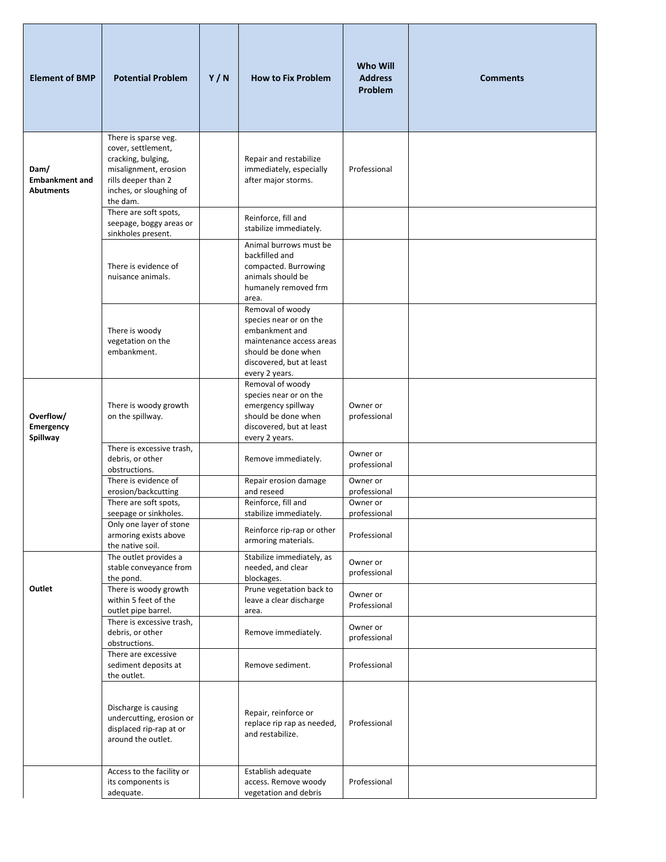| <b>Element of BMP</b>                             | <b>Potential Problem</b>                                                                                                                                | Y/N | <b>How to Fix Problem</b>                                                                                                                                     | <b>Who Will</b><br><b>Address</b><br>Problem | <b>Comments</b> |
|---------------------------------------------------|---------------------------------------------------------------------------------------------------------------------------------------------------------|-----|---------------------------------------------------------------------------------------------------------------------------------------------------------------|----------------------------------------------|-----------------|
| Dam/<br><b>Embankment and</b><br><b>Abutments</b> | There is sparse veg.<br>cover, settlement,<br>cracking, bulging,<br>misalignment, erosion<br>rills deeper than 2<br>inches, or sloughing of<br>the dam. |     | Repair and restabilize<br>immediately, especially<br>after major storms.                                                                                      | Professional                                 |                 |
|                                                   | There are soft spots,<br>seepage, boggy areas or<br>sinkholes present.                                                                                  |     | Reinforce, fill and<br>stabilize immediately.                                                                                                                 |                                              |                 |
|                                                   | There is evidence of<br>nuisance animals.                                                                                                               |     | Animal burrows must be<br>backfilled and<br>compacted. Burrowing<br>animals should be<br>humanely removed frm<br>area.                                        |                                              |                 |
|                                                   | There is woody<br>vegetation on the<br>embankment.                                                                                                      |     | Removal of woody<br>species near or on the<br>embankment and<br>maintenance access areas<br>should be done when<br>discovered, but at least<br>every 2 years. |                                              |                 |
| Overflow/<br>Emergency<br>Spillway                | There is woody growth<br>on the spillway.                                                                                                               |     | Removal of woody<br>species near or on the<br>emergency spillway<br>should be done when<br>discovered, but at least<br>every 2 years.                         | Owner or<br>professional                     |                 |
|                                                   | There is excessive trash,<br>debris, or other<br>obstructions.                                                                                          |     | Remove immediately.                                                                                                                                           | Owner or<br>professional                     |                 |
|                                                   | There is evidence of<br>erosion/backcutting<br>There are soft spots,                                                                                    |     | Repair erosion damage<br>and reseed<br>Reinforce, fill and                                                                                                    | Owner or<br>professional<br>Owner or         |                 |
|                                                   | seepage or sinkholes.<br>Only one layer of stone<br>armoring exists above<br>the native soil.                                                           |     | stabilize immediately.<br>Reinforce rip-rap or other<br>armoring materials.                                                                                   | professional<br>Professional                 |                 |
| Outlet                                            | The outlet provides a<br>stable conveyance from<br>the pond.<br>There is woody growth                                                                   |     | Stabilize immediately, as<br>needed, and clear<br>blockages.<br>Prune vegetation back to                                                                      | Owner or<br>professional<br>Owner or         |                 |
|                                                   | within 5 feet of the<br>outlet pipe barrel.<br>There is excessive trash,<br>debris, or other                                                            |     | leave a clear discharge<br>area.                                                                                                                              | Professional<br>Owner or                     |                 |
|                                                   | obstructions.<br>There are excessive<br>sediment deposits at                                                                                            |     | Remove immediately.<br>Remove sediment.                                                                                                                       | professional<br>Professional                 |                 |
|                                                   | the outlet.<br>Discharge is causing<br>undercutting, erosion or<br>displaced rip-rap at or<br>around the outlet.                                        |     | Repair, reinforce or<br>replace rip rap as needed,<br>and restabilize.                                                                                        | Professional                                 |                 |
|                                                   | Access to the facility or<br>its components is<br>adequate.                                                                                             |     | Establish adequate<br>access. Remove woody<br>vegetation and debris                                                                                           | Professional                                 |                 |